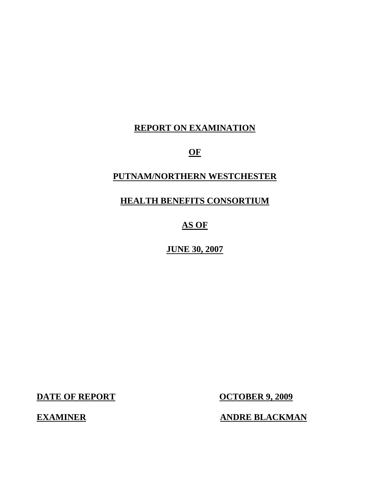## **REPORT ON EXAMINATION**

## **OF**

# **PUTNAM/NORTHERN WESTCHESTER**

## **HEALTH BENEFITS CONSORTIUM**

## **AS OF**

## **JUNE 30, 2007**

**DATE OF REPORT CONTROLLER 9, 2009** 

**EXAMINER ANDRE BLACKMAN**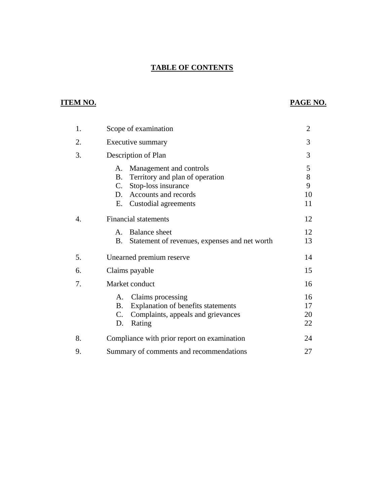## **TABLE OF CONTENTS**

## **ITEM NO. PAGE NO.**

| 1. | Scope of examination                                                                                                                                            | $\overline{2}$          |
|----|-----------------------------------------------------------------------------------------------------------------------------------------------------------------|-------------------------|
| 2. | Executive summary                                                                                                                                               | 3                       |
| 3. | Description of Plan                                                                                                                                             | 3                       |
|    | Management and controls<br>А.<br>Territory and plan of operation<br>B.<br>C.<br>Stop-loss insurance<br>Accounts and records<br>D.<br>Custodial agreements<br>Е. | 5<br>8<br>9<br>10<br>11 |
| 4. | <b>Financial statements</b>                                                                                                                                     | 12                      |
|    | <b>Balance</b> sheet<br>$\mathsf{A}$ .<br><b>B.</b><br>Statement of revenues, expenses and net worth                                                            | 12<br>13                |
| 5. | Unearned premium reserve                                                                                                                                        | 14                      |
| 6. | Claims payable                                                                                                                                                  | 15                      |
| 7. | Market conduct                                                                                                                                                  | 16                      |
|    | Claims processing<br>A.<br>Explanation of benefits statements<br><b>B.</b><br>Complaints, appeals and grievances<br>C.<br>Rating<br>D.                          | 16<br>17<br>20<br>22    |
| 8. | Compliance with prior report on examination                                                                                                                     | 24                      |
| 9. | Summary of comments and recommendations                                                                                                                         | 27                      |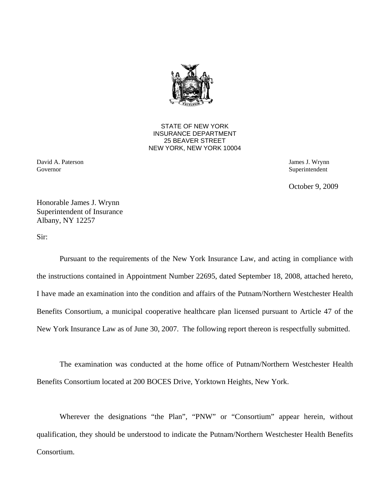

STATE OF NEW YORK INSURANCE DEPARTMENT 25 BEAVER STREET NEW YORK, NEW YORK 10004

David A. Paterson James J. Wrynn Governor Superintendent Superintendent Superintendent Superintendent Superintendent Superintendent Superintendent Superintendent Superintendent Superintendent Superintendent Superintendent Superintendent Superintendent Sup

October 9, 2009

Honorable James J. Wrynn Superintendent of Insurance Albany, NY 12257

Sir:

Pursuant to the requirements of the New York Insurance Law, and acting in compliance with the instructions contained in Appointment Number 22695, dated September 18, 2008, attached hereto, I have made an examination into the condition and affairs of the Putnam/Northern Westchester Health Benefits Consortium, a municipal cooperative healthcare plan licensed pursuant to Article 47 of the New York Insurance Law as of June 30, 2007. The following report thereon is respectfully submitted.

The examination was conducted at the home office of Putnam/Northern Westchester Health Benefits Consortium located at 200 BOCES Drive, Yorktown Heights, New York.

 Consortium. Wherever the designations "the Plan", "PNW" or "Consortium" appear herein, without qualification, they should be understood to indicate the Putnam/Northern Westchester Health Benefits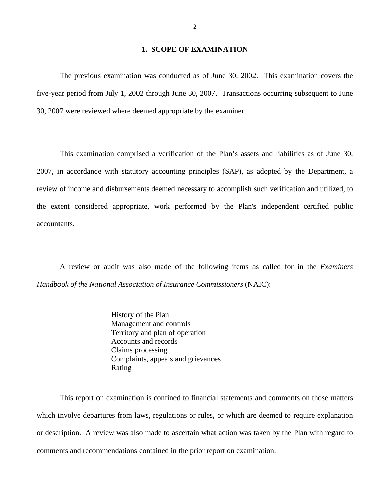### **1. SCOPE OF EXAMINATION**

<span id="page-3-0"></span>The previous examination was conducted as of June 30, 2002. This examination covers the five-year period from July 1, 2002 through June 30, 2007. Transactions occurring subsequent to June 30, 2007 were reviewed where deemed appropriate by the examiner.

This examination comprised a verification of the Plan's assets and liabilities as of June 30, 2007, in accordance with statutory accounting principles (SAP), as adopted by the Department, a review of income and disbursements deemed necessary to accomplish such verification and utilized, to the extent considered appropriate, work performed by the Plan's independent certified public accountants.

A review or audit was also made of the following items as called for in the *Examiners Handbook of the National Association of Insurance Commissioners* (NAIC):

> History of the Plan Management and controls Territory and plan of operation Accounts and records Claims processing Complaints, appeals and grievances Rating

This report on examination is confined to financial statements and comments on those matters which involve departures from laws, regulations or rules, or which are deemed to require explanation or description. A review was also made to ascertain what action was taken by the Plan with regard to comments and recommendations contained in the prior report on examination.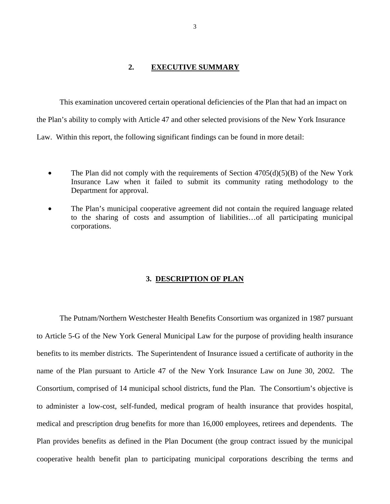#### **2. EXECUTIVE SUMMARY**

<span id="page-4-0"></span>This examination uncovered certain operational deficiencies of the Plan that had an impact on the Plan's ability to comply with Article 47 and other selected provisions of the New York Insurance Law. Within this report, the following significant findings can be found in more detail:

- The Plan did not comply with the requirements of Section  $4705(d)(5)(B)$  of the New York Insurance Law when it failed to submit its community rating methodology to the Department for approval.
- The Plan's municipal cooperative agreement did not contain the required language related to the sharing of costs and assumption of liabilities…of all participating municipal corporations.

#### **3. DESCRIPTION OF PLAN**

The Putnam/Northern Westchester Health Benefits Consortium was organized in 1987 pursuant to Article 5-G of the New York General Municipal Law for the purpose of providing health insurance benefits to its member districts. The Superintendent of Insurance issued a certificate of authority in the name of the Plan pursuant to Article 47 of the New York Insurance Law on June 30, 2002. The Consortium, comprised of 14 municipal school districts, fund the Plan. The Consortium's objective is to administer a low-cost, self-funded, medical program of health insurance that provides hospital, medical and prescription drug benefits for more than 16,000 employees, retirees and dependents. The Plan provides benefits as defined in the Plan Document (the group contract issued by the municipal cooperative health benefit plan to participating municipal corporations describing the terms and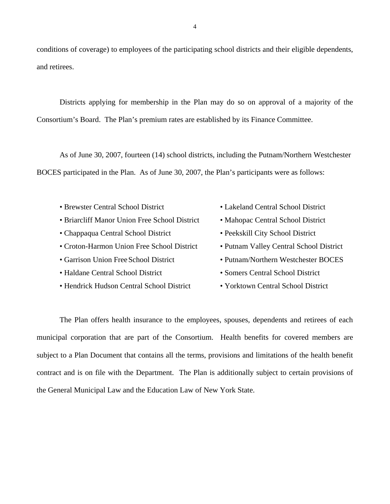conditions of coverage) to employees of the participating school districts and their eligible dependents, and retirees.

Districts applying for membership in the Plan may do so on approval of a majority of the Consortium's Board. The Plan's premium rates are established by its Finance Committee.

As of June 30, 2007, fourteen (14) school districts, including the Putnam/Northern Westchester BOCES participated in the Plan. As of June 30, 2007, the Plan's participants were as follows:

- Brewster Central School District Lakeland Central School District
- Briarcliff Manor Union Free School District Mahopac Central School District
- Chappaqua Central School District Peekskill City School District
- Croton-Harmon Union Free School District Putnam Valley Central School District
- 
- Haldane Central School District Somers Central School District
- Hendrick Hudson Central School District Yorktown Central School District
- 
- 
- 
- 
- Garrison Union Free School District Putnam/Northern Westchester BOCES
	-
	-

The Plan offers health insurance to the employees, spouses, dependents and retirees of each municipal corporation that are part of the Consortium. Health benefits for covered members are subject to a Plan Document that contains all the terms, provisions and limitations of the health benefit contract and is on file with the Department. The Plan is additionally subject to certain provisions of the General Municipal Law and the Education Law of New York State.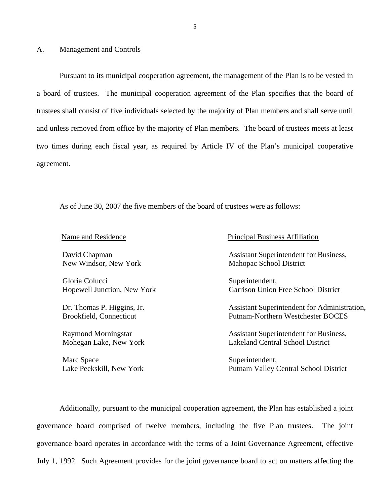#### <span id="page-6-0"></span>A. Management and Controls

Pursuant to its municipal cooperation agreement, the management of the Plan is to be vested in a board of trustees. The municipal cooperation agreement of the Plan specifies that the board of trustees shall consist of five individuals selected by the majority of Plan members and shall serve until and unless removed from office by the majority of Plan members. The board of trustees meets at least two times during each fiscal year, as required by Article IV of the Plan's municipal cooperative agreement.

As of June 30, 2007 the five members of the board of trustees were as follows:

| Name and Residence |
|--------------------|
|--------------------|

Gloria Colucci Superintendent,

Marc Space Superintendent,

#### **Principal Business Affiliation**

David Chapman **Assistant** Superintendent for Business, New Windsor, New York Mahopac School District

Hopewell Junction, New York Garrison Union Free School District

Dr. Thomas P. Higgins, Jr. (2004) Assistant Superintendent for Administration, Brookfield, Connecticut Putnam-Northern Westchester BOCES

Raymond Morningstar **Assistant Superintendent for Business**, Mohegan Lake, New York Lakeland Central School District

Lake Peekskill, New York Putnam Valley Central School District

Additionally, pursuant to the municipal cooperation agreement, the Plan has established a joint governance board comprised of twelve members, including the five Plan trustees. The joint governance board operates in accordance with the terms of a Joint Governance Agreement, effective July 1, 1992. Such Agreement provides for the joint governance board to act on matters affecting the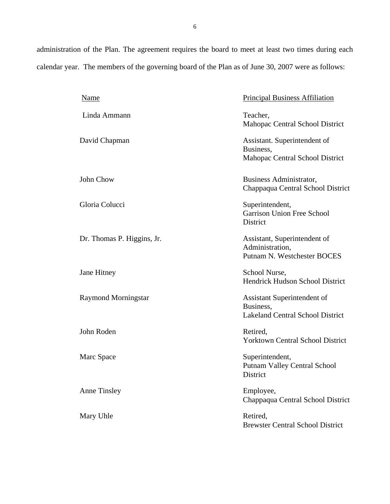administration of the Plan. The agreement requires the board to meet at least two times during each calendar year. The members of the governing board of the Plan as of June 30, 2007 were as follows:

| <b>Name</b>                | <b>Principal Business Affiliation</b>                                               |
|----------------------------|-------------------------------------------------------------------------------------|
| Linda Ammann               | Teacher,<br>Mahopac Central School District                                         |
| David Chapman              | Assistant. Superintendent of<br>Business,<br>Mahopac Central School District        |
| John Chow                  | Business Administrator,<br>Chappaqua Central School District                        |
| Gloria Colucci             | Superintendent,<br>Garrison Union Free School<br>District                           |
| Dr. Thomas P. Higgins, Jr. | Assistant, Superintendent of<br>Administration,<br>Putnam N. Westchester BOCES      |
| Jane Hitney                | School Nurse,<br>Hendrick Hudson School District                                    |
| <b>Raymond Morningstar</b> | Assistant Superintendent of<br>Business,<br><b>Lakeland Central School District</b> |
| John Roden                 | Retired,<br><b>Yorktown Central School District</b>                                 |
| Marc Space                 | Superintendent,<br><b>Putnam Valley Central School</b><br>District                  |
| <b>Anne Tinsley</b>        | Employee,<br>Chappaqua Central School District                                      |
| Mary Uhle                  | Retired,<br><b>Brewster Central School District</b>                                 |
|                            |                                                                                     |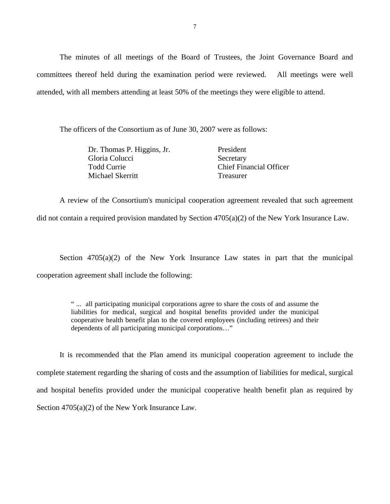The minutes of all meetings of the Board of Trustees, the Joint Governance Board and committees thereof held during the examination period were reviewed. All meetings were well attended, with all members attending at least 50% of the meetings they were eligible to attend.

The officers of the Consortium as of June 30, 2007 were as follows:

| Dr. Thomas P. Higgins, Jr. | President                      |
|----------------------------|--------------------------------|
| Gloria Colucci             | Secretary                      |
| Todd Currie                | <b>Chief Financial Officer</b> |
| Michael Skerritt           | Treasurer                      |

did not contain a required provision mandated by Section  $4705(a)(2)$  of the New York Insurance Law. A review of the Consortium's municipal cooperation agreement revealed that such agreement

Section  $4705(a)(2)$  of the New York Insurance Law states in part that the municipal cooperation agreement shall include the following:

> " ... all participating municipal corporations agree to share the costs of and assume the liabilities for medical, surgical and hospital benefits provided under the municipal cooperative health benefit plan to the covered employees (including retirees) and their dependents of all participating municipal corporations…"

It is recommended that the Plan amend its municipal cooperation agreement to include the complete statement regarding the sharing of costs and the assumption of liabilities for medical, surgical and hospital benefits provided under the municipal cooperative health benefit plan as required by Section 4705(a)(2) of the New York Insurance Law.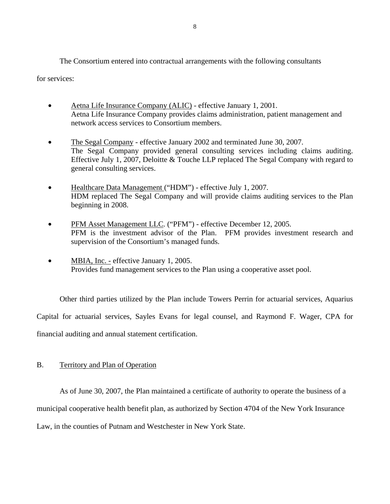<span id="page-9-0"></span>The Consortium entered into contractual arrangements with the following consultants

for services:

- Aetna Life Insurance Company (ALIC) effective January 1, 2001. Aetna Life Insurance Company provides claims administration, patient management and network access services to Consortium members.
- The Segal Company effective January 2002 and terminated June 30, 2007. The Segal Company provided general consulting services including claims auditing. Effective July 1, 2007, Deloitte & Touche LLP replaced The Segal Company with regard to general consulting services.
- Healthcare Data Management ("HDM") effective July 1, 2007. HDM replaced The Segal Company and will provide claims auditing services to the Plan beginning in 2008.
- PFM Asset Management LLC. ("PFM") effective December 12, 2005. PFM is the investment advisor of the Plan. PFM provides investment research and supervision of the Consortium's managed funds.
- MBIA, Inc. effective January 1, 2005. Provides fund management services to the Plan using a cooperative asset pool.

Other third parties utilized by the Plan include Towers Perrin for actuarial services, Aquarius Capital for actuarial services, Sayles Evans for legal counsel, and Raymond F. Wager, CPA for financial auditing and annual statement certification.

#### B. Territory and Plan of Operation

As of June 30, 2007, the Plan maintained a certificate of authority to operate the business of a municipal cooperative health benefit plan, as authorized by Section 4704 of the New York Insurance Law, in the counties of Putnam and Westchester in New York State.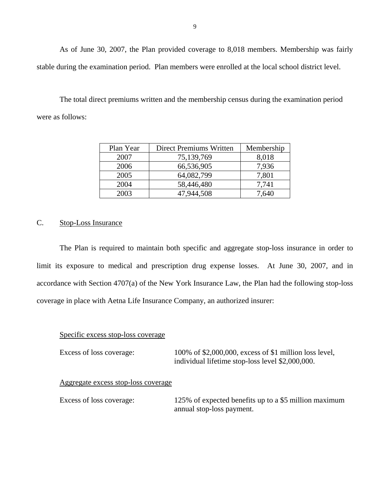As of June 30, 2007, the Plan provided coverage to 8,018 members. Membership was fairly stable during the examination period. Plan members were enrolled at the local school district level.

The total direct premiums written and the membership census during the examination period were as follows:

| Plan Year | Direct Premiums Written | Membership |
|-----------|-------------------------|------------|
| 2007      | 75,139,769              | 8,018      |
| 2006      | 66,536,905              | 7,936      |
| 2005      | 64,082,799              | 7,801      |
| 2004      | 58,446,480              | 7,741      |
| 2003      | 47,944,508              | 7.640      |

#### C. Stop-Loss Insurance

The Plan is required to maintain both specific and aggregate stop-loss insurance in order to limit its exposure to medical and prescription drug expense losses. At June 30, 2007, and in accordance with Section 4707(a) of the New York Insurance Law, the Plan had the following stop-loss coverage in place with Aetna Life Insurance Company, an authorized insurer:

#### Specific excess stop-loss coverage

| Excess of loss coverage:            | 100% of \$2,000,000, excess of \$1 million loss level,<br>individual lifetime stop-loss level \$2,000,000. |
|-------------------------------------|------------------------------------------------------------------------------------------------------------|
| Aggregate excess stop-loss coverage |                                                                                                            |
| Excess of loss coverage:            | 125% of expected benefits up to a \$5 million maximum<br>annual stop-loss payment.                         |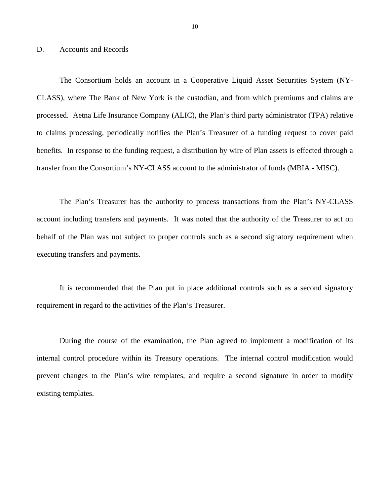#### <span id="page-11-0"></span>D. Accounts and Records

The Consortium holds an account in a Cooperative Liquid Asset Securities System (NY-CLASS), where The Bank of New York is the custodian, and from which premiums and claims are processed. Aetna Life Insurance Company (ALIC), the Plan's third party administrator (TPA) relative to claims processing, periodically notifies the Plan's Treasurer of a funding request to cover paid benefits. In response to the funding request, a distribution by wire of Plan assets is effected through a transfer from the Consortium's NY-CLASS account to the administrator of funds (MBIA - MISC).

The Plan's Treasurer has the authority to process transactions from the Plan's NY-CLASS account including transfers and payments. It was noted that the authority of the Treasurer to act on behalf of the Plan was not subject to proper controls such as a second signatory requirement when executing transfers and payments.

It is recommended that the Plan put in place additional controls such as a second signatory requirement in regard to the activities of the Plan's Treasurer.

During the course of the examination, the Plan agreed to implement a modification of its internal control procedure within its Treasury operations. The internal control modification would prevent changes to the Plan's wire templates, and require a second signature in order to modify existing templates.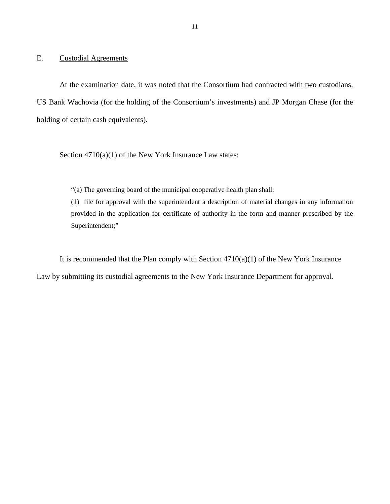#### <span id="page-12-0"></span>E. Custodial Agreements

At the examination date, it was noted that the Consortium had contracted with two custodians, US Bank Wachovia (for the holding of the Consortium's investments) and JP Morgan Chase (for the holding of certain cash equivalents).

Section  $4710(a)(1)$  of the New York Insurance Law states:

"(a) The governing board of the municipal cooperative health plan shall:

(1) file for approval with the superintendent a description of material changes in any information provided in the application for certificate of authority in the form and manner prescribed by the Superintendent;"

It is recommended that the Plan comply with Section  $4710(a)(1)$  of the New York Insurance

Law by submitting its custodial agreements to the New York Insurance Department for approval.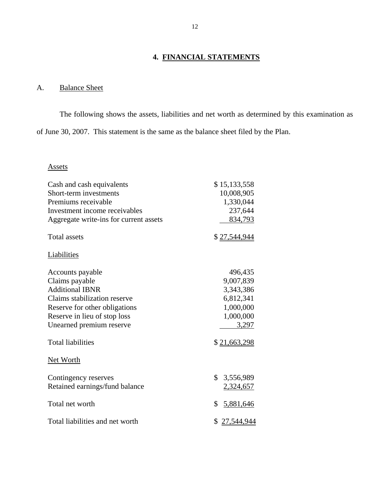## **4. FINANCIAL STATEMENTS**

## A. Balance Sheet

The following shows the assets, liabilities and net worth as determined by this examination as of June 30, 2007. This statement is the same as the balance sheet filed by the Plan.

### Assets

| Cash and cash equivalents<br>Short-term investments<br>Premiums receivable<br>Investment income receivables<br>Aggregate write-ins for current assets                                     | \$15,133,558<br>10,008,905<br>1,330,044<br>237,644<br>834,793                     |
|-------------------------------------------------------------------------------------------------------------------------------------------------------------------------------------------|-----------------------------------------------------------------------------------|
| <b>Total assets</b>                                                                                                                                                                       | \$27,544,944                                                                      |
| Liabilities                                                                                                                                                                               |                                                                                   |
| Accounts payable<br>Claims payable<br><b>Additional IBNR</b><br>Claims stabilization reserve<br>Reserve for other obligations<br>Reserve in lieu of stop loss<br>Unearned premium reserve | 496,435<br>9,007,839<br>3,343,386<br>6,812,341<br>1,000,000<br>1,000,000<br>3,297 |
| <b>Total liabilities</b>                                                                                                                                                                  | \$21,663,298                                                                      |
| Net Worth                                                                                                                                                                                 |                                                                                   |
| Contingency reserves<br>Retained earnings/fund balance                                                                                                                                    | \$<br>3,556,989<br>2,324,657                                                      |
| Total net worth                                                                                                                                                                           | \$<br>5,881,646                                                                   |
| Total liabilities and net worth                                                                                                                                                           | \$27,544,944                                                                      |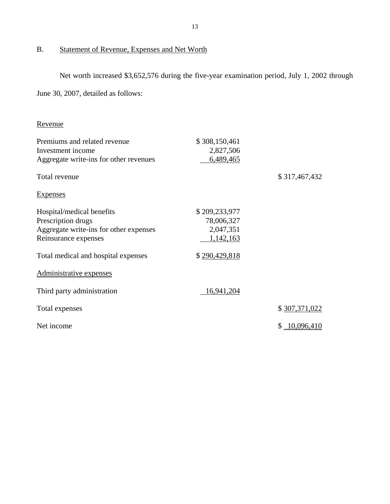#### B. Statement of Revenue, Expenses and Net Worth

Net worth increased \$3,652,576 during the five-year examination period, July 1, 2002 through

June 30, 2007, detailed as follows:

| Revenue                                                                                                           |                                                       |               |
|-------------------------------------------------------------------------------------------------------------------|-------------------------------------------------------|---------------|
| Premiums and related revenue<br>Investment income<br>Aggregate write-ins for other revenues                       | \$308,150,461<br>2,827,506<br>6,489,465               |               |
| Total revenue                                                                                                     |                                                       | \$317,467,432 |
| <b>Expenses</b>                                                                                                   |                                                       |               |
| Hospital/medical benefits<br>Prescription drugs<br>Aggregate write-ins for other expenses<br>Reinsurance expenses | \$209,233,977<br>78,006,327<br>2,047,351<br>1,142,163 |               |
| Total medical and hospital expenses                                                                               | \$290,429,818                                         |               |
| Administrative expenses                                                                                           |                                                       |               |
| Third party administration                                                                                        | 16,941,204                                            |               |
| Total expenses                                                                                                    |                                                       | \$307,371,022 |
| Net income                                                                                                        |                                                       | \$10,096,410  |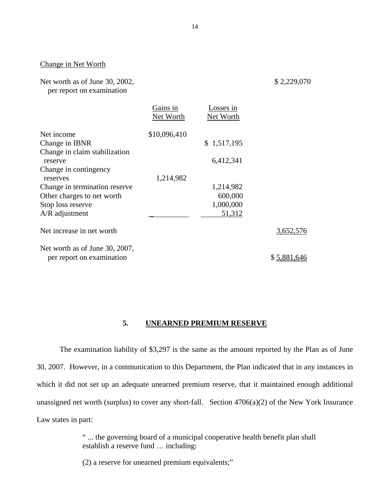#### Change in Net Worth

Net worth as of June 30, 2002,

\$ 2,229,070

per report on examination

|                                | Gains in<br>Net Worth | osses in<br>Net Worth |             |
|--------------------------------|-----------------------|-----------------------|-------------|
| Net income                     | \$10,096,410          |                       |             |
| Change in IBNR                 |                       | \$1,517,195           |             |
| Change in claim stabilization  |                       |                       |             |
| reserve                        |                       | 6,412,341             |             |
| Change in contingency          |                       |                       |             |
| reserves                       | 1,214,982             |                       |             |
| Change in termination reserve  |                       | 1,214,982             |             |
| Other charges to net worth     |                       | 600,000               |             |
| Stop loss reserve              |                       | 1,000,000             |             |
| $A/R$ adjustment               |                       | 51,312                |             |
| Net increase in net worth      |                       |                       | 3,652,576   |
| Net worth as of June 30, 2007, |                       |                       |             |
| per report on examination      |                       |                       | \$5,881,646 |

#### **5. UNEARNED PREMIUM RESERVE**

The examination liability of \$3,297 is the same as the amount reported by the Plan as of June 30, 2007. However, in a communication to this Department, the Plan indicated that in any instances in which it did not set up an adequate unearned premium reserve, that it maintained enough additional unassigned net worth (surplus) to cover any short-fall. Section 4706(a)(2) of the New York Insurance Law states in part:

> " ... the governing board of a municipal cooperative health benefit plan shall establish a reserve fund … including:

(2) a reserve for unearned premium equivalents;"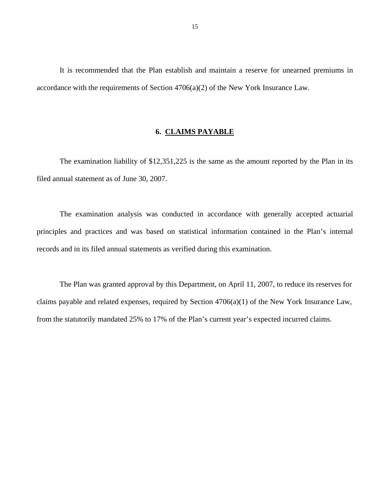<span id="page-16-0"></span>It is recommended that the Plan establish and maintain a reserve for unearned premiums in accordance with the requirements of Section 4706(a)(2) of the New York Insurance Law.

#### **6. CLAIMS PAYABLE**

The examination liability of \$12,351,225 is the same as the amount reported by the Plan in its filed annual statement as of June 30, 2007.

The examination analysis was conducted in accordance with generally accepted actuarial principles and practices and was based on statistical information contained in the Plan's internal records and in its filed annual statements as verified during this examination.

The Plan was granted approval by this Department, on April 11, 2007, to reduce its reserves for claims payable and related expenses, required by Section 4706(a)(1) of the New York Insurance Law, from the statutorily mandated 25% to 17% of the Plan's current year's expected incurred claims.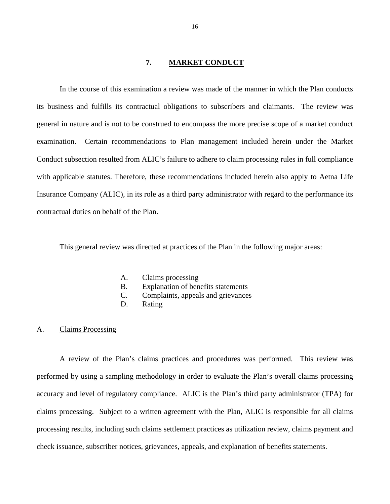### **7. MARKET CONDUCT**

<span id="page-17-0"></span>In the course of this examination a review was made of the manner in which the Plan conducts its business and fulfills its contractual obligations to subscribers and claimants. The review was general in nature and is not to be construed to encompass the more precise scope of a market conduct examination. Certain recommendations to Plan management included herein under the Market Conduct subsection resulted from ALIC's failure to adhere to claim processing rules in full compliance with applicable statutes. Therefore, these recommendations included herein also apply to Aetna Life Insurance Company (ALIC), in its role as a third party administrator with regard to the performance its contractual duties on behalf of the Plan.

This general review was directed at practices of the Plan in the following major areas:

- A. Claims processing
- B. Explanation of benefits statements
- C. Complaints, appeals and grievances
- D. Rating

#### A. Claims Processing

A review of the Plan's claims practices and procedures was performed. This review was performed by using a sampling methodology in order to evaluate the Plan's overall claims processing accuracy and level of regulatory compliance. ALIC is the Plan's third party administrator (TPA) for claims processing. Subject to a written agreement with the Plan, ALIC is responsible for all claims processing results, including such claims settlement practices as utilization review, claims payment and check issuance, subscriber notices, grievances, appeals, and explanation of benefits statements.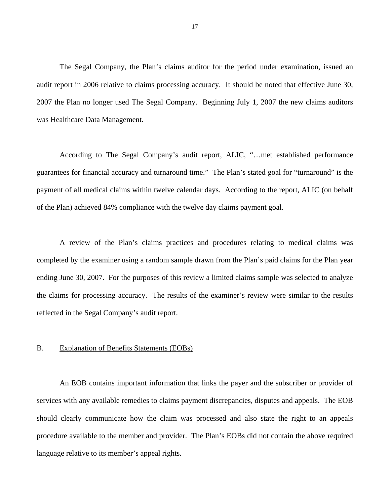<span id="page-18-0"></span>The Segal Company, the Plan's claims auditor for the period under examination, issued an audit report in 2006 relative to claims processing accuracy. It should be noted that effective June 30, 2007 the Plan no longer used The Segal Company. Beginning July 1, 2007 the new claims auditors was Healthcare Data Management.

According to The Segal Company's audit report, ALIC, "…met established performance guarantees for financial accuracy and turnaround time." The Plan's stated goal for "turnaround" is the payment of all medical claims within twelve calendar days. According to the report, ALIC (on behalf of the Plan) achieved 84% compliance with the twelve day claims payment goal.

A review of the Plan's claims practices and procedures relating to medical claims was completed by the examiner using a random sample drawn from the Plan's paid claims for the Plan year ending June 30, 2007. For the purposes of this review a limited claims sample was selected to analyze the claims for processing accuracy. The results of the examiner's review were similar to the results reflected in the Segal Company's audit report.

#### B. Explanation of Benefits Statements (EOBs)

An EOB contains important information that links the payer and the subscriber or provider of services with any available remedies to claims payment discrepancies, disputes and appeals. The EOB should clearly communicate how the claim was processed and also state the right to an appeals procedure available to the member and provider. The Plan's EOBs did not contain the above required language relative to its member's appeal rights.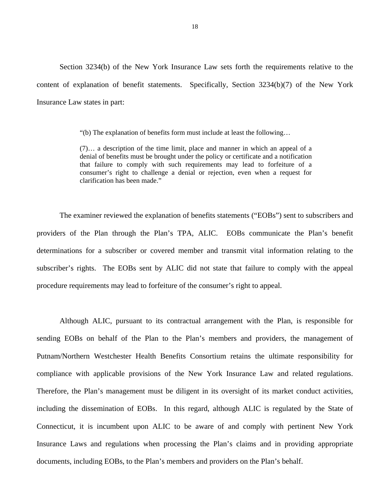Section 3234(b) of the New York Insurance Law sets forth the requirements relative to the content of explanation of benefit statements. Specifically, Section 3234(b)(7) of the New York Insurance Law states in part:

"(b) The explanation of benefits form must include at least the following…

(7)… a description of the time limit, place and manner in which an appeal of a denial of benefits must be brought under the policy or certificate and a notification that failure to comply with such requirements may lead to forfeiture of a consumer's right to challenge a denial or rejection, even when a request for clarification has been made."

The examiner reviewed the explanation of benefits statements ("EOBs") sent to subscribers and providers of the Plan through the Plan's TPA, ALIC. EOBs communicate the Plan's benefit determinations for a subscriber or covered member and transmit vital information relating to the subscriber's rights. The EOBs sent by ALIC did not state that failure to comply with the appeal procedure requirements may lead to forfeiture of the consumer's right to appeal.

Although ALIC, pursuant to its contractual arrangement with the Plan, is responsible for sending EOBs on behalf of the Plan to the Plan's members and providers, the management of Putnam/Northern Westchester Health Benefits Consortium retains the ultimate responsibility for compliance with applicable provisions of the New York Insurance Law and related regulations. Therefore, the Plan's management must be diligent in its oversight of its market conduct activities, including the dissemination of EOBs. In this regard, although ALIC is regulated by the State of Connecticut, it is incumbent upon ALIC to be aware of and comply with pertinent New York Insurance Laws and regulations when processing the Plan's claims and in providing appropriate documents, including EOBs, to the Plan's members and providers on the Plan's behalf.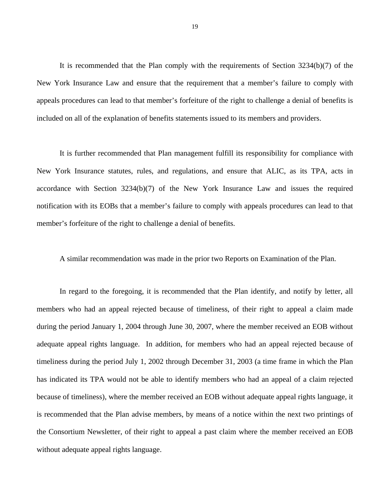It is recommended that the Plan comply with the requirements of Section 3234(b)(7) of the New York Insurance Law and ensure that the requirement that a member's failure to comply with appeals procedures can lead to that member's forfeiture of the right to challenge a denial of benefits is included on all of the explanation of benefits statements issued to its members and providers.

It is further recommended that Plan management fulfill its responsibility for compliance with New York Insurance statutes, rules, and regulations, and ensure that ALIC, as its TPA, acts in accordance with Section 3234(b)(7) of the New York Insurance Law and issues the required notification with its EOBs that a member's failure to comply with appeals procedures can lead to that member's forfeiture of the right to challenge a denial of benefits.

A similar recommendation was made in the prior two Reports on Examination of the Plan.

In regard to the foregoing, it is recommended that the Plan identify, and notify by letter, all members who had an appeal rejected because of timeliness, of their right to appeal a claim made during the period January 1, 2004 through June 30, 2007, where the member received an EOB without adequate appeal rights language. In addition, for members who had an appeal rejected because of timeliness during the period July 1, 2002 through December 31, 2003 (a time frame in which the Plan has indicated its TPA would not be able to identify members who had an appeal of a claim rejected because of timeliness), where the member received an EOB without adequate appeal rights language, it is recommended that the Plan advise members, by means of a notice within the next two printings of the Consortium Newsletter, of their right to appeal a past claim where the member received an EOB without adequate appeal rights language.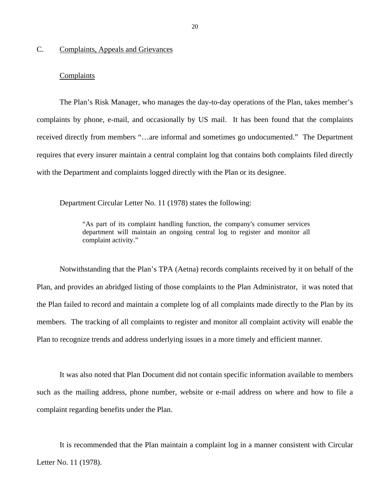#### <span id="page-21-0"></span>C. Complaints, Appeals and Grievances

#### **Complaints**

The Plan's Risk Manager, who manages the day-to-day operations of the Plan, takes member's complaints by phone, e-mail, and occasionally by US mail. It has been found that the complaints received directly from members "…are informal and sometimes go undocumented." The Department requires that every insurer maintain a central complaint log that contains both complaints filed directly with the Department and complaints logged directly with the Plan or its designee.

Department Circular Letter No. 11 (1978) states the following:

"As part of its complaint handling function, the company's consumer services department will maintain an ongoing central log to register and monitor all complaint activity."

Notwithstanding that the Plan's TPA (Aetna) records complaints received by it on behalf of the Plan, and provides an abridged listing of those complaints to the Plan Administrator, it was noted that the Plan failed to record and maintain a complete log of all complaints made directly to the Plan by its members. The tracking of all complaints to register and monitor all complaint activity will enable the Plan to recognize trends and address underlying issues in a more timely and efficient manner.

It was also noted that Plan Document did not contain specific information available to members such as the mailing address, phone number, website or e-mail address on where and how to file a complaint regarding benefits under the Plan.

It is recommended that the Plan maintain a complaint log in a manner consistent with Circular Letter No. 11 (1978).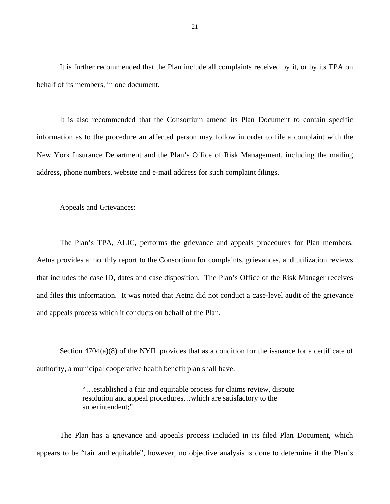It is further recommended that the Plan include all complaints received by it, or by its TPA on behalf of its members, in one document.

It is also recommended that the Consortium amend its Plan Document to contain specific information as to the procedure an affected person may follow in order to file a complaint with the New York Insurance Department and the Plan's Office of Risk Management, including the mailing address, phone numbers, website and e-mail address for such complaint filings.

#### Appeals and Grievances:

The Plan's TPA, ALIC, performs the grievance and appeals procedures for Plan members. Aetna provides a monthly report to the Consortium for complaints, grievances, and utilization reviews. that includes the case ID, dates and case disposition. The Plan's Office of the Risk Manager receives and files this information. It was noted that Aetna did not conduct a case-level audit of the grievance and appeals process which it conducts on behalf of the Plan.

Section  $4704(a)(8)$  of the NYIL provides that as a condition for the issuance for a certificate of authority, a municipal cooperative health benefit plan shall have:

> "…established a fair and equitable process for claims review, dispute resolution and appeal procedures…which are satisfactory to the superintendent:"

The Plan has a grievance and appeals process included in its filed Plan Document, which appears to be "fair and equitable", however, no objective analysis is done to determine if the Plan's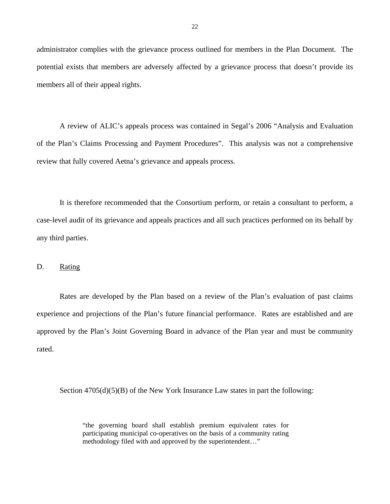<span id="page-23-0"></span>administrator complies with the grievance process outlined for members in the Plan Document. The potential exists that members are adversely affected by a grievance process that doesn't provide its members all of their appeal rights.

A review of ALIC's appeals process was contained in Segal's 2006 "Analysis and Evaluation of the Plan's Claims Processing and Payment Procedures". This analysis was not a comprehensive review that fully covered Aetna's grievance and appeals process.

It is therefore recommended that the Consortium perform, or retain a consultant to perform, a case-level audit of its grievance and appeals practices and all such practices performed on its behalf by any third parties.

#### D. Rating

Rates are developed by the Plan based on a review of the Plan's evaluation of past claims experience and projections of the Plan's future financial performance. Rates are established and are approved by the Plan's Joint Governing Board in advance of the Plan year and must be community rated.

Section  $4705(d)(5)(B)$  of the New York Insurance Law states in part the following:

"the governing board shall establish premium equivalent rates for participating municipal co-operatives on the basis of a community rating methodology filed with and approved by the superintendent…"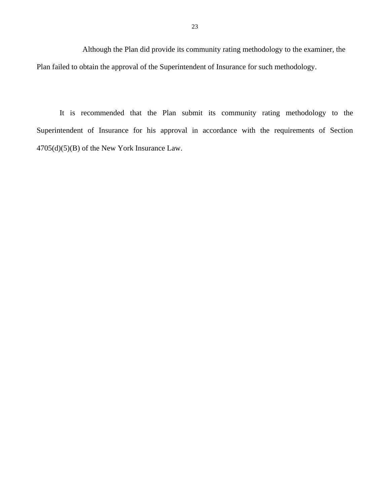Although the Plan did provide its community rating methodology to the examiner, the Plan failed to obtain the approval of the Superintendent of Insurance for such methodology.

It is recommended that the Plan submit its community rating methodology to the Superintendent of Insurance for his approval in accordance with the requirements of Section 4705(d)(5)(B) of the New York Insurance Law.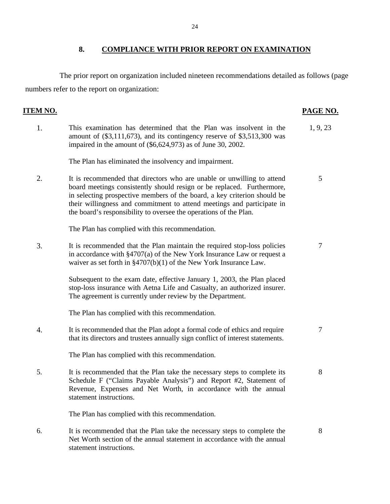### **8. COMPLIANCE WITH PRIOR REPORT ON EXAMINATION**

<span id="page-25-0"></span>The prior report on organization included nineteen recommendations detailed as follows (page numbers refer to the report on organization:

## **ITEM NO. PAGE NO.**

- 1. This examination has determined that the Plan was insolvent in the 1, 9, 23 amount of (\$3,111,673), and its contingency reserve of \$3,513,300 was impaired in the amount of (\$6,624,973) as of June 30, 2002. The Plan has eliminated the insolvency and impairment. 2. It is recommended that directors who are unable or unwilling to attend 5 board meetings consistently should resign or be replaced. Furthermore, in selecting prospective members of the board, a key criterion should be their willingness and commitment to attend meetings and participate in the board's responsibility to oversee the operations of the Plan. The Plan has complied with this recommendation. 3. It is recommended that the Plan maintain the required stop-loss policies 7 in accordance with §4707(a) of the New York Insurance Law or request a waiver as set forth in §4707(b)(1) of the New York Insurance Law. Subsequent to the exam date, effective January 1, 2003, the Plan placed stop-loss insurance with Aetna Life and Casualty, an authorized insurer. The agreement is currently under review by the Department. The Plan has complied with this recommendation. 4. It is recommended that the Plan adopt a formal code of ethics and require 7 that its directors and trustees annually sign conflict of interest statements. The Plan has complied with this recommendation. 5. It is recommended that the Plan take the necessary steps to complete its 8 Schedule F ("Claims Payable Analysis") and Report #2, Statement of Revenue, Expenses and Net Worth, in accordance with the annual statement instructions. The Plan has complied with this recommendation.
- 6. It is recommended that the Plan take the necessary steps to complete the 8 Net Worth section of the annual statement in accordance with the annual statement instructions.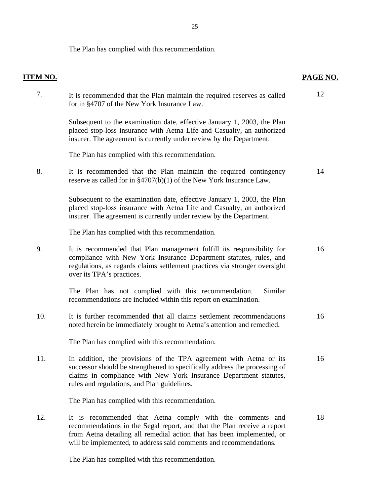The Plan has complied with this recommendation.

| <b>ITEM NO.</b> |                                                                                                                                                                                                                                                                                      | PAGE NO. |
|-----------------|--------------------------------------------------------------------------------------------------------------------------------------------------------------------------------------------------------------------------------------------------------------------------------------|----------|
| 7.              | It is recommended that the Plan maintain the required reserves as called<br>for in §4707 of the New York Insurance Law.                                                                                                                                                              | 12       |
|                 | Subsequent to the examination date, effective January 1, 2003, the Plan<br>placed stop-loss insurance with Aetna Life and Casualty, an authorized<br>insurer. The agreement is currently under review by the Department.                                                             |          |
|                 | The Plan has complied with this recommendation.                                                                                                                                                                                                                                      |          |
| 8.              | It is recommended that the Plan maintain the required contingency<br>reserve as called for in $\S4707(b)(1)$ of the New York Insurance Law.                                                                                                                                          | 14       |
|                 | Subsequent to the examination date, effective January 1, 2003, the Plan<br>placed stop-loss insurance with Aetna Life and Casualty, an authorized<br>insurer. The agreement is currently under review by the Department.                                                             |          |
|                 | The Plan has complied with this recommendation.                                                                                                                                                                                                                                      |          |
| 9.              | It is recommended that Plan management fulfill its responsibility for<br>compliance with New York Insurance Department statutes, rules, and<br>regulations, as regards claims settlement practices via stronger oversight<br>over its TPA's practices.                               | 16       |
|                 | The Plan has not complied with this recommendation.<br>Similar<br>recommendations are included within this report on examination.                                                                                                                                                    |          |
| 10.             | It is further recommended that all claims settlement recommendations<br>noted herein be immediately brought to Aetna's attention and remedied.                                                                                                                                       | 16       |
|                 | The Plan has complied with this recommendation.                                                                                                                                                                                                                                      |          |
| 11.             | In addition, the provisions of the TPA agreement with Aetna or its<br>successor should be strengthened to specifically address the processing of<br>claims in compliance with New York Insurance Department statutes,<br>rules and regulations, and Plan guidelines.                 | 16       |
|                 | The Plan has complied with this recommendation.                                                                                                                                                                                                                                      |          |
| 12.             | It is recommended that Aetna comply with the comments and<br>recommendations in the Segal report, and that the Plan receive a report<br>from Aetna detailing all remedial action that has been implemented, or<br>will be implemented, to address said comments and recommendations. | 18       |

The Plan has complied with this recommendation.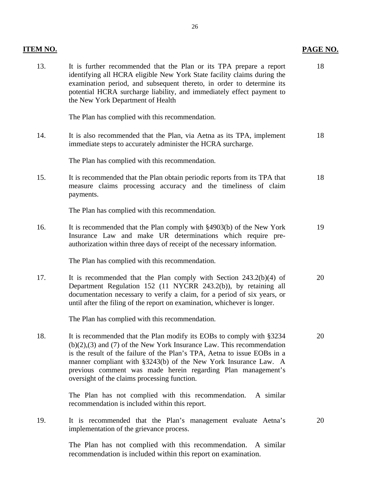| ITEM NO. |                                                                                                                                                                                                                                                                                                                                                                                                                  | PAGE NO. |
|----------|------------------------------------------------------------------------------------------------------------------------------------------------------------------------------------------------------------------------------------------------------------------------------------------------------------------------------------------------------------------------------------------------------------------|----------|
| 13.      | It is further recommended that the Plan or its TPA prepare a report<br>identifying all HCRA eligible New York State facility claims during the<br>examination period, and subsequent thereto, in order to determine its<br>potential HCRA surcharge liability, and immediately effect payment to<br>the New York Department of Health                                                                            | 18       |
|          | The Plan has complied with this recommendation.                                                                                                                                                                                                                                                                                                                                                                  |          |
| 14.      | It is also recommended that the Plan, via Aetna as its TPA, implement<br>immediate steps to accurately administer the HCRA surcharge.                                                                                                                                                                                                                                                                            | 18       |
|          | The Plan has complied with this recommendation.                                                                                                                                                                                                                                                                                                                                                                  |          |
| 15.      | It is recommended that the Plan obtain periodic reports from its TPA that<br>measure claims processing accuracy and the timeliness of claim<br>payments.                                                                                                                                                                                                                                                         | 18       |
|          | The Plan has complied with this recommendation.                                                                                                                                                                                                                                                                                                                                                                  |          |
| 16.      | It is recommended that the Plan comply with §4903(b) of the New York<br>Insurance Law and make UR determinations which require pre-<br>authorization within three days of receipt of the necessary information.                                                                                                                                                                                                  | 19       |
|          | The Plan has complied with this recommendation.                                                                                                                                                                                                                                                                                                                                                                  |          |
| 17.      | It is recommended that the Plan comply with Section $243.2(b)(4)$ of<br>Department Regulation 152 (11 NYCRR 243.2(b)), by retaining all<br>documentation necessary to verify a claim, for a period of six years, or<br>until after the filing of the report on examination, whichever is longer.                                                                                                                 | 20       |
|          | The Plan has complied with this recommendation.                                                                                                                                                                                                                                                                                                                                                                  |          |
| 18.      | It is recommended that the Plan modify its EOBs to comply with §3234<br>$(b)(2),(3)$ and $(7)$ of the New York Insurance Law. This recommendation<br>is the result of the failure of the Plan's TPA, Aetna to issue EOBs in a<br>manner compliant with §3243(b) of the New York Insurance Law. A<br>previous comment was made herein regarding Plan management's<br>oversight of the claims processing function. | 20       |
|          | The Plan has not complied with this recommendation.<br>A similar<br>recommendation is included within this report.                                                                                                                                                                                                                                                                                               |          |
| 19.      | It is recommended that the Plan's management evaluate Aetna's<br>implementation of the grievance process.                                                                                                                                                                                                                                                                                                        | 20       |
|          | The Plan has not complied with this recommendation. A similar<br>recommendation is included within this report on examination.                                                                                                                                                                                                                                                                                   |          |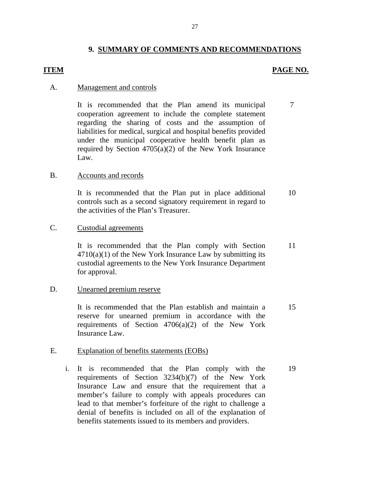#### **9. SUMMARY OF COMMENTS AND RECOMMENDATIONS**

#### **ITEM**

#### **PAGE NO.**

#### A. Management and controls

It is recommended that the Plan amend its municipal cooperation agreement to include the complete statement regarding the sharing of costs and the assumption of liabilities for medical, surgical and hospital benefits provided under the municipal cooperative health benefit plan as required by Section 4705(a)(2) of the New York Insurance Law. 7

#### Accounts and records

B. Accounts and records<br>It is recommended that the Plan put in place additional controls such as a second signatory requirement in regard to the activities of the Plan's Treasurer. 10

#### Custodial agreements

C. Custodial agreements<br>It is recommended that the Plan comply with Section  $4710(a)(1)$  of the New York Insurance Law by submitting its custodial agreements to the New York Insurance Department for approval. 11

#### Unearned premium reserve

D. Unearned premium reserve<br>It is recommended that the Plan establish and maintain a reserve for unearned premium in accordance with the requirements of Section  $4706(a)(2)$  of the New York Insurance Law. 15

#### E. Explanation of benefits statements (EOBs)

 i. It is recommended that the Plan comply with the requirements of Section 3234(b)(7) of the New York Insurance Law and ensure that the requirement that a member's failure to comply with appeals procedures can lead to that member's forfeiture of the right to challenge a denial of benefits is included on all of the explanation of benefits statements issued to its members and providers. 19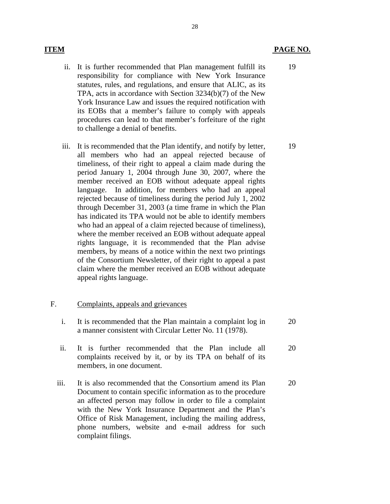- ii. It is further recommended that Plan management fulfill its responsibility for compliance with New York Insurance statutes, rules, and regulations, and ensure that ALIC, as its TPA, acts in accordance with Section 3234(b)(7) of the New York Insurance Law and issues the required notification with its EOBs that a member's failure to comply with appeals procedures can lead to that member's forfeiture of the right to challenge a denial of benefits.
- iii. It is recommended that the Plan identify, and notify by letter, all members who had an appeal rejected because of timeliness, of their right to appeal a claim made during the period January 1, 2004 through June 30, 2007, where the member received an EOB without adequate appeal rights language. In addition, for members who had an appeal rejected because of timeliness during the period July 1, 2002 through December 31, 2003 (a time frame in which the Plan has indicated its TPA would not be able to identify members who had an appeal of a claim rejected because of timeliness), where the member received an EOB without adequate appeal rights language, it is recommended that the Plan advise members, by means of a notice within the next two printings of the Consortium Newsletter, of their right to appeal a past claim where the member received an EOB without adequate appeal rights language.

#### F. Complaints, appeals and grievances

- i. It is recommended that the Plan maintain a complaint log in a manner consistent with Circular Letter No. 11 (1978). 20
- ii. It is further recommended that the Plan include all 20 complaints received by it, or by its TPA on behalf of its members, in one document.
- iii. It is also recommended that the Consortium amend its Plan 20 Document to contain specific information as to the procedure an affected person may follow in order to file a complaint with the New York Insurance Department and the Plan's Office of Risk Management, including the mailing address, phone numbers, website and e-mail address for such complaint filings.

19

19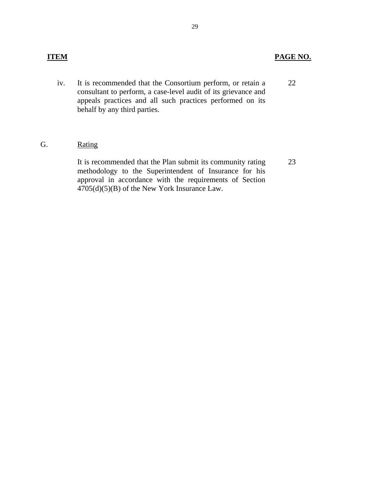## **ITEM PAGE NO.**

23

 iv. It is recommended that the Consortium perform, or retain a consultant to perform, a case-level audit of its grievance and appeals practices and all such practices performed on its behalf by any third parties. 22

### G. Rating

It is recommended that the Plan submit its community rating methodology to the Superintendent of Insurance for his approval in accordance with the requirements of Section 4705(d)(5)(B) of the New York Insurance Law.